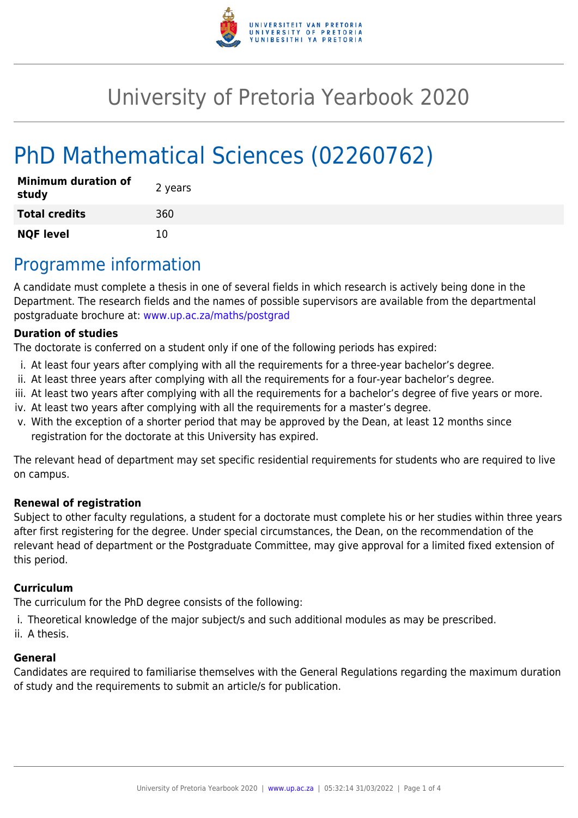

# University of Pretoria Yearbook 2020

# PhD Mathematical Sciences (02260762)

| <b>Minimum duration of</b><br>study | 2 years |
|-------------------------------------|---------|
| <b>Total credits</b>                | 360     |
| <b>NQF level</b>                    | 10      |

# Programme information

A candidate must complete a thesis in one of several fields in which research is actively being done in the Department. The research fields and the names of possible supervisors are available from the departmental postgraduate brochure at: [www.up.ac.za/maths/postgrad](http://www.up.ac.za/maths/postgrad)

#### **Duration of studies**

The doctorate is conferred on a student only if one of the following periods has expired:

- i. At least four years after complying with all the requirements for a three-year bachelor's degree.
- ii. At least three years after complying with all the requirements for a four-year bachelor's degree.
- iii. At least two years after complying with all the requirements for a bachelor's degree of five years or more.
- iv. At least two years after complying with all the requirements for a master's degree.
- v. With the exception of a shorter period that may be approved by the Dean, at least 12 months since registration for the doctorate at this University has expired.

The relevant head of department may set specific residential requirements for students who are required to live on campus.

#### **Renewal of registration**

Subject to other faculty regulations, a student for a doctorate must complete his or her studies within three years after first registering for the degree. Under special circumstances, the Dean, on the recommendation of the relevant head of department or the Postgraduate Committee, may give approval for a limited fixed extension of this period.

#### **Curriculum**

The curriculum for the PhD degree consists of the following:

- i. Theoretical knowledge of the major subject/s and such additional modules as may be prescribed.
- ii. A thesis.

#### **General**

Candidates are required to familiarise themselves with the General Regulations regarding the maximum duration of study and the requirements to submit an article/s for publication.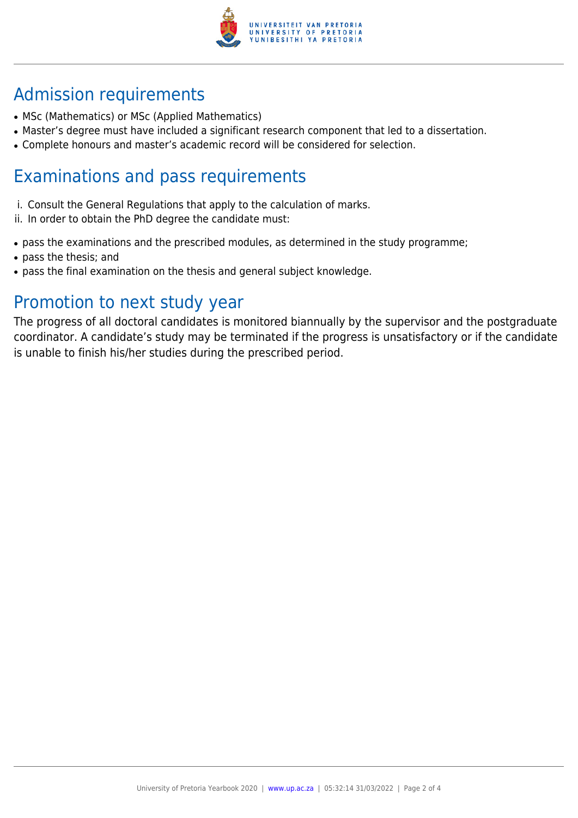

# Admission requirements

- MSc (Mathematics) or MSc (Applied Mathematics)
- Master's degree must have included a significant research component that led to a dissertation.
- Complete honours and master's academic record will be considered for selection.

# Examinations and pass requirements

- i. Consult the General Regulations that apply to the calculation of marks.
- ii. In order to obtain the PhD degree the candidate must:
- pass the examinations and the prescribed modules, as determined in the study programme;
- pass the thesis; and
- pass the final examination on the thesis and general subject knowledge.

# Promotion to next study year

The progress of all doctoral candidates is monitored biannually by the supervisor and the postgraduate coordinator. A candidate's study may be terminated if the progress is unsatisfactory or if the candidate is unable to finish his/her studies during the prescribed period.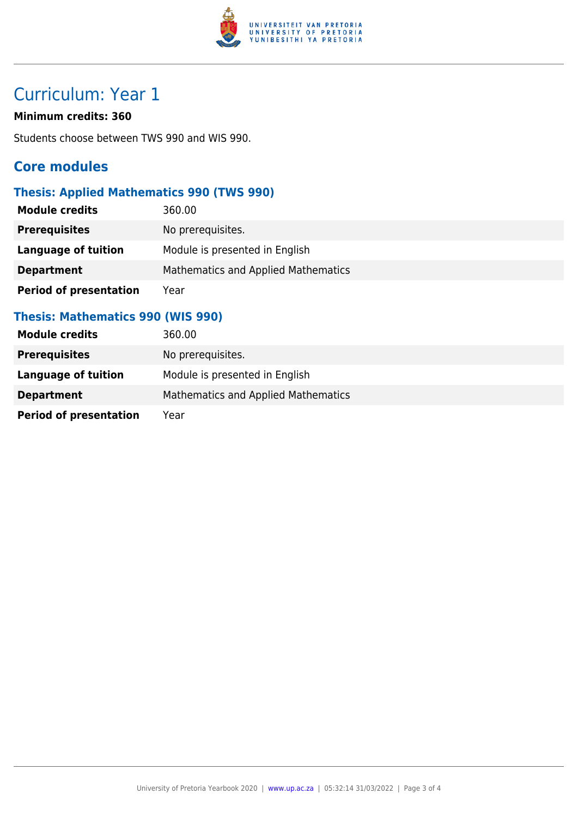

# Curriculum: Year 1

#### **Minimum credits: 360**

Students choose between TWS 990 and WIS 990.

## **Core modules**

### **Thesis: Applied Mathematics 990 (TWS 990)**

| <b>Module credits</b>         | 360.00                              |
|-------------------------------|-------------------------------------|
| <b>Prerequisites</b>          | No prerequisites.                   |
| Language of tuition           | Module is presented in English      |
| <b>Department</b>             | Mathematics and Applied Mathematics |
| <b>Period of presentation</b> | Year                                |

### **Thesis: Mathematics 990 (WIS 990)**

| <b>Module credits</b>         | 360.00                                     |
|-------------------------------|--------------------------------------------|
| <b>Prerequisites</b>          | No prerequisites.                          |
| Language of tuition           | Module is presented in English             |
| <b>Department</b>             | <b>Mathematics and Applied Mathematics</b> |
| <b>Period of presentation</b> | Year                                       |